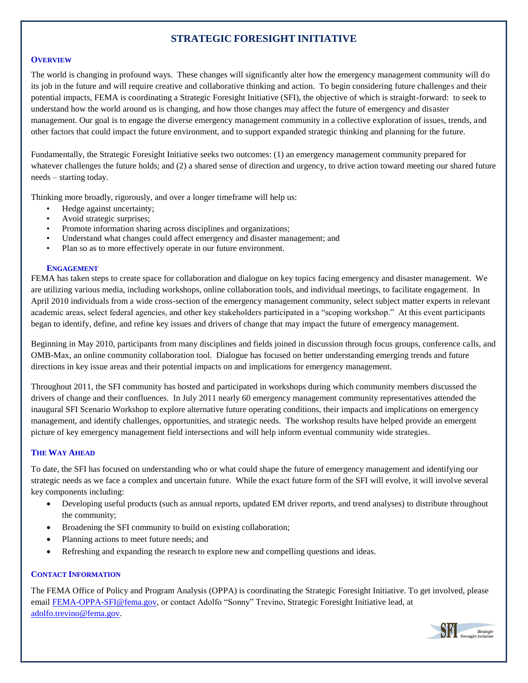# **STRATEGIC FORESIGHT INITIATIVE**

## **OVERVIEW**

The world is changing in profound ways. These changes will significantly alter how the emergency management community will do its job in the future and will require creative and collaborative thinking and action. To begin considering future challenges and their potential impacts, FEMA is coordinating a Strategic Foresight Initiative (SFI), the objective of which is straight-forward: to seek to understand how the world around us is changing, and how those changes may affect the future of emergency and disaster management. Our goal is to engage the diverse emergency management community in a collective exploration of issues, trends, and other factors that could impact the future environment, and to support expanded strategic thinking and planning for the future.

Fundamentally, the Strategic Foresight Initiative seeks two outcomes: (1) an emergency management community prepared for whatever challenges the future holds; and (2) a shared sense of direction and urgency, to drive action toward meeting our shared future needs – starting today.

Thinking more broadly, rigorously, and over a longer timeframe will help us:

- Hedge against uncertainty;
- Avoid strategic surprises;
- Promote information sharing across disciplines and organizations;
- Understand what changes could affect emergency and disaster management; and
- Plan so as to more effectively operate in our future environment.

## **ENGAGEMENT**

FEMA has taken steps to create space for collaboration and dialogue on key topics facing emergency and disaster management. We are utilizing various media, including workshops, online collaboration tools, and individual meetings, to facilitate engagement. In April 2010 individuals from a wide cross-section of the emergency management community, select subject matter experts in relevant academic areas, select federal agencies, and other key stakeholders participated in a "scoping workshop." At this event participants began to identify, define, and refine key issues and drivers of change that may impact the future of emergency management.

Beginning in May 2010, participants from many disciplines and fields joined in discussion through focus groups, conference calls, and OMB-Max, an online community collaboration tool. Dialogue has focused on better understanding emerging trends and future directions in key issue areas and their potential impacts on and implications for emergency management.

Throughout 2011, the SFI community has hosted and participated in workshops during which community members discussed the drivers of change and their confluences. In July 2011 nearly 60 emergency management community representatives attended the inaugural SFI Scenario Workshop to explore alternative future operating conditions, their impacts and implications on emergency management, and identify challenges, opportunities, and strategic needs. The workshop results have helped provide an emergent picture of key emergency management field intersections and will help inform eventual community wide strategies.

## **THE WAY AHEAD**

To date, the SFI has focused on understanding who or what could shape the future of emergency management and identifying our strategic needs as we face a complex and uncertain future. While the exact future form of the SFI will evolve, it will involve several key components including:

- Developing useful products (such as annual reports, updated EM driver reports, and trend analyses) to distribute throughout the community;
- Broadening the SFI community to build on existing collaboration;
- Planning actions to meet future needs; and
- Refreshing and expanding the research to explore new and compelling questions and ideas.

## **CONTACT INFORMATION**

The FEMA Office of Policy and Program Analysis (OPPA) is coordinating the Strategic Foresight Initiative. To get involved, please emai[l FEMA-OPPA-SFI@fema.gov,](mailto:FEMA-OPPA-SFI@fema.gov) or contact Adolfo "Sonny" Trevino, Strategic Foresight Initiative lead, at [adolfo.trevino@fema.gov.](mailto:adolfo.trevino@fema.gov)

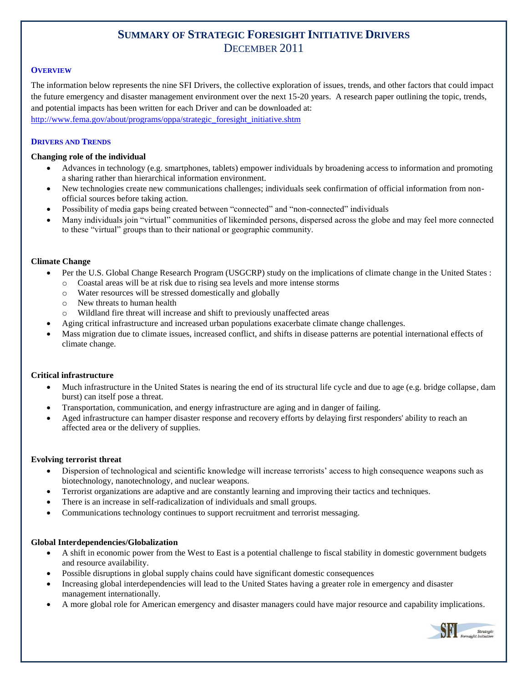# **SUMMARY OF STRATEGIC FORESIGHT INITIATIVE DRIVERS** DECEMBER 2011

## **OVERVIEW**

The information below represents the nine SFI Drivers, the collective exploration of issues, trends, and other factors that could impact the future emergency and disaster management environment over the next 15-20 years. A research paper outlining the topic, trends, and potential impacts has been written for each Driver and can be downloaded at: [http://www.fema.gov/about/programs/oppa/strategic\\_foresight\\_initiative.shtm](http://www.fema.gov/about/programs/oppa/strategic_foresight_initiative.shtm)

#### **DRIVERS AND TRENDS**

## **Changing role of the individual**

- Advances in technology (e.g. smartphones, tablets) empower individuals by broadening access to information and promoting a sharing rather than hierarchical information environment.
- New technologies create new communications challenges; individuals seek confirmation of official information from nonofficial sources before taking action.
- Possibility of media gaps being created between "connected" and "non-connected" individuals
- Many individuals join "virtual" communities of likeminded persons, dispersed across the globe and may feel more connected to these "virtual" groups than to their national or geographic community.

## **Climate Change**

- Per the U.S. Global Change Research Program (USGCRP) study on the implications of climate change in the United States :
	- o Coastal areas will be at risk due to rising sea levels and more intense storms
	- o Water resources will be stressed domestically and globally
	- o New threats to human health
	- o Wildland fire threat will increase and shift to previously unaffected areas
- Aging critical infrastructure and increased urban populations exacerbate climate change challenges.
- Mass migration due to climate issues, increased conflict, and shifts in disease patterns are potential international effects of climate change.

## **Critical infrastructure**

- Much infrastructure in the United States is nearing the end of its structural life cycle and due to age (e.g. bridge collapse, dam burst) can itself pose a threat.
- Transportation, communication, and energy infrastructure are aging and in danger of failing.
- Aged infrastructure can hamper disaster response and recovery efforts by delaying first responders' ability to reach an affected area or the delivery of supplies.

## **Evolving terrorist threat**

- Dispersion of technological and scientific knowledge will increase terrorists' access to high consequence weapons such as biotechnology, nanotechnology, and nuclear weapons.
- Terrorist organizations are adaptive and are constantly learning and improving their tactics and techniques.
- There is an increase in self-radicalization of individuals and small groups.
- Communications technology continues to support recruitment and terrorist messaging.

## **Global Interdependencies/Globalization**

- A shift in economic power from the West to East is a potential challenge to fiscal stability in domestic government budgets and resource availability.
- Possible disruptions in global supply chains could have significant domestic consequences
- Increasing global interdependencies will lead to the United States having a greater role in emergency and disaster management internationally.
- A more global role for American emergency and disaster managers could have major resource and capability implications.

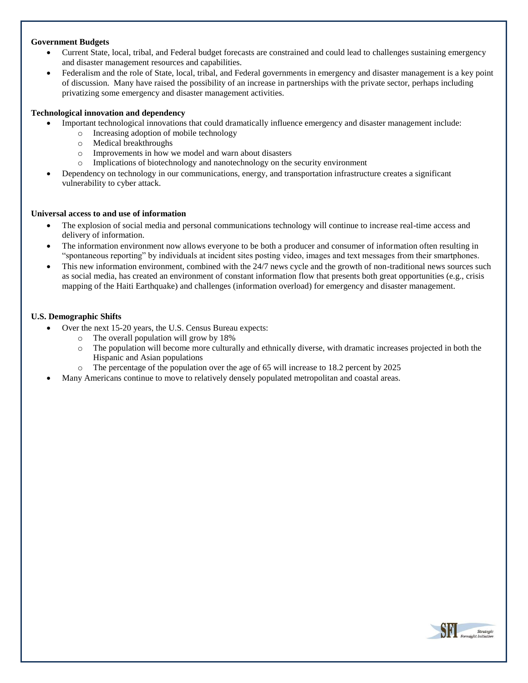#### **Government Budgets**

- Current State, local, tribal, and Federal budget forecasts are constrained and could lead to challenges sustaining emergency and disaster management resources and capabilities.
- Federalism and the role of State, local, tribal, and Federal governments in emergency and disaster management is a key point of discussion. Many have raised the possibility of an increase in partnerships with the private sector, perhaps including privatizing some emergency and disaster management activities.

## **Technological innovation and dependency**

- Important technological innovations that could dramatically influence emergency and disaster management include:
	- o Increasing adoption of mobile technology
	- o Medical breakthroughs
	- o Improvements in how we model and warn about disasters
	- o Implications of biotechnology and nanotechnology on the security environment
- Dependency on technology in our communications, energy, and transportation infrastructure creates a significant vulnerability to cyber attack.

#### **Universal access to and use of information**

- The explosion of social media and personal communications technology will continue to increase real-time access and delivery of information.
- The information environment now allows everyone to be both a producer and consumer of information often resulting in "spontaneous reporting" by individuals at incident sites posting video, images and text messages from their smartphones.
- This new information environment, combined with the 24/7 news cycle and the growth of non-traditional news sources such as social media, has created an environment of constant information flow that presents both great opportunities (e.g., crisis mapping of the Haiti Earthquake) and challenges (information overload) for emergency and disaster management.

#### **U.S. Demographic Shifts**

- Over the next 15-20 years, the U.S. Census Bureau expects:
	- o The overall population will grow by 18%
	- o The population will become more culturally and ethnically diverse, with dramatic increases projected in both the Hispanic and Asian populations
	- o The percentage of the population over the age of 65 will increase to 18.2 percent by 2025
- Many Americans continue to move to relatively densely populated metropolitan and coastal areas.

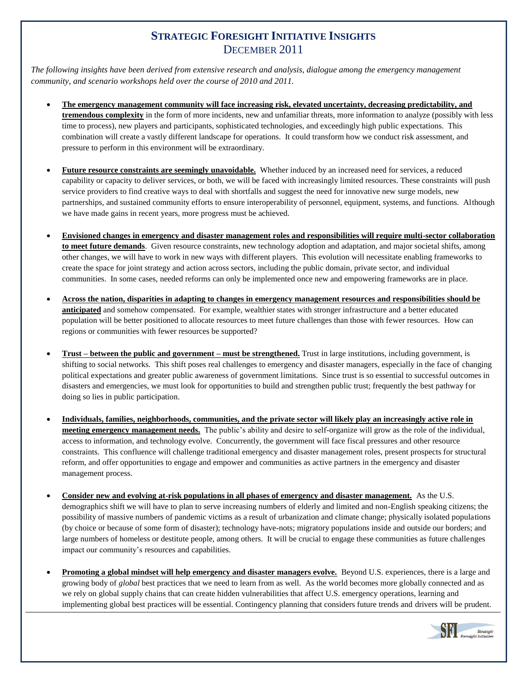# **STRATEGIC FORESIGHT INITIATIVE INSIGHTS** DECEMBER 2011

*The following insights have been derived from extensive research and analysis, dialogue among the emergency management community, and scenario workshops held over the course of 2010 and 2011.*

- **The emergency management community will face increasing risk, elevated uncertainty, decreasing predictability, and tremendous complexity** in the form of more incidents, new and unfamiliar threats, more information to analyze (possibly with less time to process), new players and participants, sophisticated technologies, and exceedingly high public expectations. This combination will create a vastly different landscape for operations. It could transform how we conduct risk assessment, and pressure to perform in this environment will be extraordinary.
- **Future resource constraints are seemingly unavoidable.** Whether induced by an increased need for services, a reduced capability or capacity to deliver services, or both, we will be faced with increasingly limited resources. These constraints will push service providers to find creative ways to deal with shortfalls and suggest the need for innovative new surge models, new partnerships, and sustained community efforts to ensure interoperability of personnel, equipment, systems, and functions. Although we have made gains in recent years, more progress must be achieved.
- **Envisioned changes in emergency and disaster management roles and responsibilities will require multi-sector collaboration to meet future demands**. Given resource constraints, new technology adoption and adaptation, and major societal shifts, among other changes, we will have to work in new ways with different players. This evolution will necessitate enabling frameworks to create the space for joint strategy and action across sectors, including the public domain, private sector, and individual communities. In some cases, needed reforms can only be implemented once new and empowering frameworks are in place.
- **Across the nation, disparities in adapting to changes in emergency management resources and responsibilities should be anticipated** and somehow compensated. For example, wealthier states with stronger infrastructure and a better educated population will be better positioned to allocate resources to meet future challenges than those with fewer resources. How can regions or communities with fewer resources be supported?
- **Trust – between the public and government – must be strengthened.** Trust in large institutions, including government, is shifting to social networks. This shift poses real challenges to emergency and disaster managers, especially in the face of changing political expectations and greater public awareness of government limitations. Since trust is so essential to successful outcomes in disasters and emergencies, we must look for opportunities to build and strengthen public trust; frequently the best pathway for doing so lies in public participation.
- **Individuals, families, neighborhoods, communities, and the private sector will likely play an increasingly active role in meeting emergency management needs.** The public's ability and desire to self-organize will grow as the role of the individual, access to information, and technology evolve. Concurrently, the government will face fiscal pressures and other resource constraints. This confluence will challenge traditional emergency and disaster management roles, present prospects for structural reform, and offer opportunities to engage and empower and communities as active partners in the emergency and disaster management process.
- **Consider new and evolving at-risk populations in all phases of emergency and disaster management.** As the U.S. demographics shift we will have to plan to serve increasing numbers of elderly and limited and non-English speaking citizens; the possibility of massive numbers of pandemic victims as a result of urbanization and climate change; physically isolated populations (by choice or because of some form of disaster); technology have-nots; migratory populations inside and outside our borders; and large numbers of homeless or destitute people, among others. It will be crucial to engage these communities as future challenges impact our community's resources and capabilities.
- **Promoting a global mindset will help emergency and disaster managers evolve.** Beyond U.S. experiences, there is a large and growing body of *global* best practices that we need to learn from as well. As the world becomes more globally connected and as we rely on global supply chains that can create hidden vulnerabilities that affect U.S. emergency operations, learning and implementing global best practices will be essential. Contingency planning that considers future trends and drivers will be prudent.

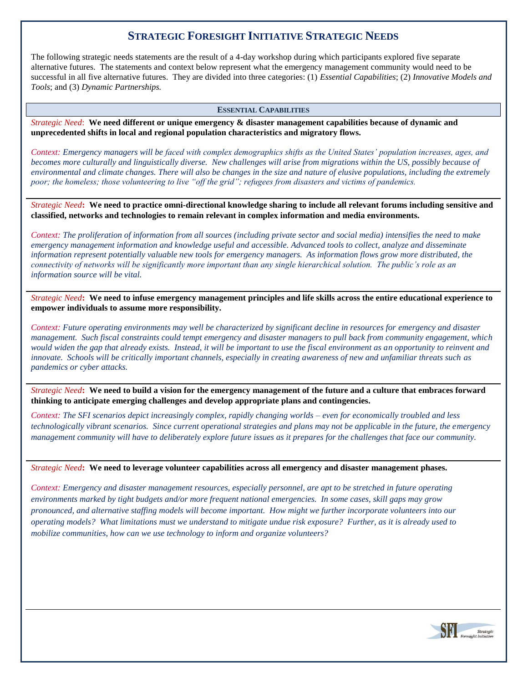# **STRATEGIC FORESIGHT INITIATIVE STRATEGIC NEEDS**

The following strategic needs statements are the result of a 4-day workshop during which participants explored five separate alternative futures. The statements and context below represent what the emergency management community would need to be successful in all five alternative futures. They are divided into three categories: (1) *Essential Capabilities*; (2) *Innovative Models and Tools*; and (3) *Dynamic Partnerships.* 

#### **ESSENTIAL CAPABILITIES**

*Strategic Need*: **We need different or unique emergency & disaster management capabilities because of dynamic and unprecedented shifts in local and regional population characteristics and migratory flows.** 

*Context: Emergency managers will be faced with complex demographics shifts as the United States' population increases, ages, and becomes more culturally and linguistically diverse. New challenges will arise from migrations within the US, possibly because of environmental and climate changes. There will also be changes in the size and nature of elusive populations, including the extremely poor; the homeless; those volunteering to live "off the grid"; refugees from disasters and victims of pandemics.*

*Strategic Need***: We need to practice omni-directional knowledge sharing to include all relevant forums including sensitive and classified, networks and technologies to remain relevant in complex information and media environments.** 

*Context: The proliferation of information from all sources (including private sector and social media) intensifies the need to make emergency management information and knowledge useful and accessible. Advanced tools to collect, analyze and disseminate information represent potentially valuable new tools for emergency managers. As information flows grow more distributed, the connectivity of networks will be significantly more important than any single hierarchical solution. The public's role as an information source will be vital.*

*Strategic Need***: We need to infuse emergency management principles and life skills across the entire educational experience to empower individuals to assume more responsibility.**

*Context: Future operating environments may well be characterized by significant decline in resources for emergency and disaster management. Such fiscal constraints could tempt emergency and disaster managers to pull back from community engagement, which would widen the gap that already exists. Instead, it will be important to use the fiscal environment as an opportunity to reinvent and innovate. Schools will be critically important channels, especially in creating awareness of new and unfamiliar threats such as pandemics or cyber attacks.*

*Strategic Need***: We need to build a vision for the emergency management of the future and a culture that embraces forward thinking to anticipate emerging challenges and develop appropriate plans and contingencies.** 

*Context: The SFI scenarios depict increasingly complex, rapidly changing worlds – even for economically troubled and less technologically vibrant scenarios. Since current operational strategies and plans may not be applicable in the future, the emergency management community will have to deliberately explore future issues as it prepares for the challenges that face our community.*

*Strategic Need***: We need to leverage volunteer capabilities across all emergency and disaster management phases.** 

*Context: Emergency and disaster management resources, especially personnel, are apt to be stretched in future operating environments marked by tight budgets and/or more frequent national emergencies. In some cases, skill gaps may grow pronounced, and alternative staffing models will become important. How might we further incorporate volunteers into our operating models? What limitations must we understand to mitigate undue risk exposure? Further, as it is already used to mobilize communities, how can we use technology to inform and organize volunteers?* 

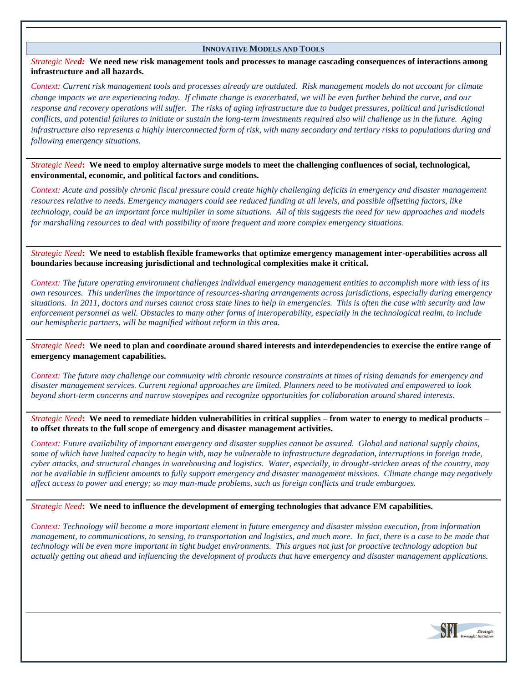#### **INNOVATIVE MODELS AND TOOLS**

*Strategic Need:* **We need new risk management tools and processes to manage cascading consequences of interactions among infrastructure and all hazards.**

*Context: Current risk management tools and processes already are outdated. Risk management models do not account for climate change impacts we are experiencing today. If climate change is exacerbated, we will be even further behind the curve, and our response and recovery operations will suffer. The risks of aging infrastructure due to budget pressures, political and jurisdictional conflicts, and potential failures to initiate or sustain the long-term investments required also will challenge us in the future. Aging infrastructure also represents a highly interconnected form of risk, with many secondary and tertiary risks to populations during and following emergency situations.*

*Strategic Need***: We need to employ alternative surge models to meet the challenging confluences of social, technological, environmental, economic, and political factors and conditions.**

*Context: Acute and possibly chronic fiscal pressure could create highly challenging deficits in emergency and disaster management resources relative to needs. Emergency managers could see reduced funding at all levels, and possible offsetting factors, like technology, could be an important force multiplier in some situations. All of this suggests the need for new approaches and models for marshalling resources to deal with possibility of more frequent and more complex emergency situations.*

*Strategic Need***: We need to establish flexible frameworks that optimize emergency management inter-operabilities across all boundaries because increasing jurisdictional and technological complexities make it critical.**

*Context: The future operating environment challenges individual emergency management entities to accomplish more with less of its own resources. This underlines the importance of resources-sharing arrangements across jurisdictions, especially during emergency situations. In 2011, doctors and nurses cannot cross state lines to help in emergencies. This is often the case with security and law enforcement personnel as well. Obstacles to many other forms of interoperability, especially in the technological realm, to include our hemispheric partners, will be magnified without reform in this area.*

*Strategic Need***: We need to plan and coordinate around shared interests and interdependencies to exercise the entire range of emergency management capabilities.**

*Context: The future may challenge our community with chronic resource constraints at times of rising demands for emergency and disaster management services. Current regional approaches are limited. Planners need to be motivated and empowered to look beyond short-term concerns and narrow stovepipes and recognize opportunities for collaboration around shared interests.*

*Strategic Need***: We need to remediate hidden vulnerabilities in critical supplies – from water to energy to medical products – to offset threats to the full scope of emergency and disaster management activities.**

*Context: Future availability of important emergency and disaster supplies cannot be assured. Global and national supply chains, some of which have limited capacity to begin with, may be vulnerable to infrastructure degradation, interruptions in foreign trade, cyber attacks, and structural changes in warehousing and logistics. Water, especially, in drought-stricken areas of the country, may not be available in sufficient amounts to fully support emergency and disaster management missions. Climate change may negatively affect access to power and energy; so may man-made problems, such as foreign conflicts and trade embargoes.*

*Strategic Need***: We need to influence the development of emerging technologies that advance EM capabilities.** 

*Context: Technology will become a more important element in future emergency and disaster mission execution, from information management, to communications, to sensing, to transportation and logistics, and much more. In fact, there is a case to be made that technology will be even more important in tight budget environments. This argues not just for proactive technology adoption but actually getting out ahead and influencing the development of products that have emergency and disaster management applications.*